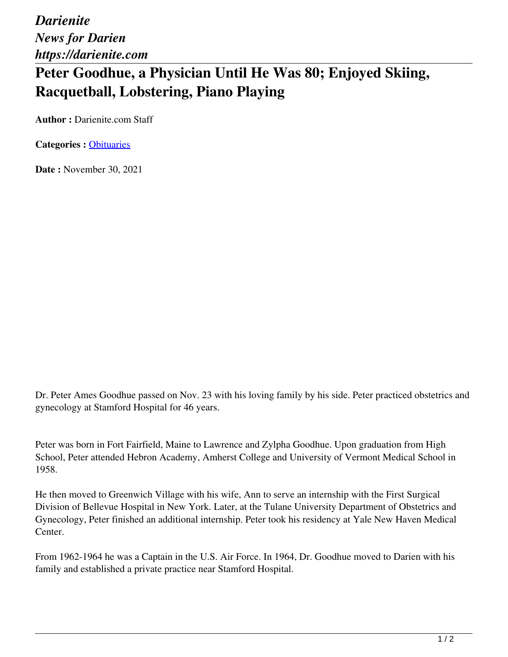*Darienite News for Darien https://darienite.com*

## **Peter Goodhue, a Physician Until He Was 80; Enjoyed Skiing, Racquetball, Lobstering, Piano Playing**

**Author :** Darienite.com Staff

**Categories :** [Obituaries](https://darienite.com/category/obituaries)

**Date :** November 30, 2021

Dr. Peter Ames Goodhue passed on Nov. 23 with his loving family by his side. Peter practiced obstetrics and gynecology at Stamford Hospital for 46 years.

Peter was born in Fort Fairfield, Maine to Lawrence and Zylpha Goodhue. Upon graduation from High School, Peter attended Hebron Academy, Amherst College and University of Vermont Medical School in 1958.

He then moved to Greenwich Village with his wife, Ann to serve an internship with the First Surgical Division of Bellevue Hospital in New York. Later, at the Tulane University Department of Obstetrics and Gynecology, Peter finished an additional internship. Peter took his residency at Yale New Haven Medical Center.

From 1962-1964 he was a Captain in the U.S. Air Force. In 1964, Dr. Goodhue moved to Darien with his family and established a private practice near Stamford Hospital.